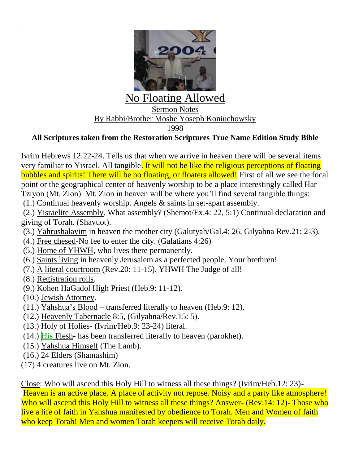

## **All Scriptures taken from the Restoration Scriptures True Name Edition Study Bible**

Ivrim Hebrews 12:22-24. Tells us that when we arrive in heaven there will be several items very familiar to Yisrael. All tangible. It will not be like the religious perceptions of floating bubbles and spirits! There will be no floating, or floaters allowed! First of all we see the focal point or the geographical center of heavenly worship to be a place interestingly called Har Tziyon (Mt. Zion). Mt. Zion in heaven will be where you'll find several tangible things:

(1.) Continual heavenly worship. Angels & saints in set-apart assembly.

(2.) Yisraelite Assembly. What assembly? (Shemot/Ex.4: 22, 5:1) Continual declaration and giving of Torah. (Shavuot).

- (3.) Yahrushalayim in heaven the mother city (Galutyah/Gal.4: 26, Gilyahna Rev.21: 2-3).
- (4.) Free chesed-No fee to enter the city. (Galatians 4:26)
- (5.) Home of YHWH, who lives there permanently.
- (6.) Saints living in heavenly Jerusalem as a perfected people. Your brethren!
- (7.) A literal courtroom (Rev.20: 11-15). YHWH The Judge of all!
- (8.) Registration rolls.
- (9.) Kohen HaGadol High Priest (Heb.9: 11-12).
- (10.) Jewish Attorney.
- (11.) Yahshua's Blood transferred literally to heaven (Heb.9: 12).
- (12.) Heavenly Tabernacle 8:5, (Gilyahna/Rev.15: 5).
- (13.) Holy of Holies- (Ivrim/Heb.9: 23-24) literal.
- $(14.)$  His Flesh- has been transferred literally to heaven (parokhet).
- (15.) Yahshua Himself (The Lamb).
- (16.) 24 Elders (Shamashim)
- (17) 4 creatures live on Mt. Zion.

Close: Who will ascend this Holy Hill to witness all these things? (Ivrim/Heb.12: 23)-

Heaven is an active place. A place of activity not repose. Noisy and a party like atmosphere! Who will ascend this Holy Hill to witness all these things? Answer- (Rev.14: 12)- Those who live a life of faith in Yahshua manifested by obedience to Torah. Men and Women of faith who keep Torah! Men and women Torah keepers will receive Torah daily.